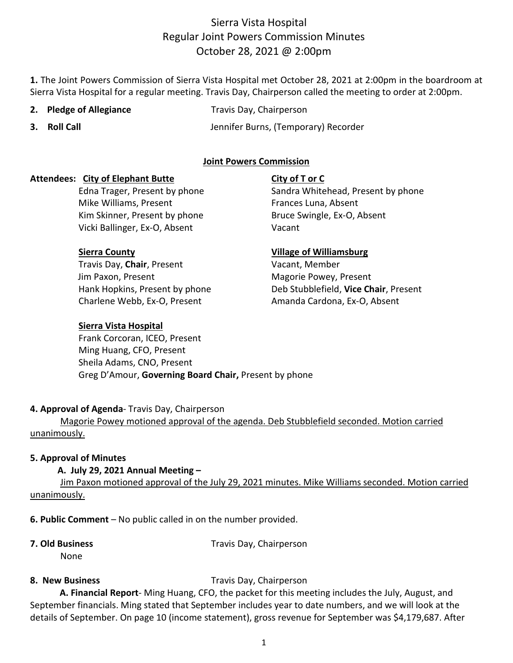**1.** The Joint Powers Commission of Sierra Vista Hospital met October 28, 2021 at 2:00pm in the boardroom at Sierra Vista Hospital for a regular meeting. Travis Day, Chairperson called the meeting to order at 2:00pm.

- 
- **2. Pledge of Allegiance** Travis Day, Chairperson
- 

**3. Roll Call** Jennifer Burns, (Temporary) Recorder

# **Joint Powers Commission**

### **Attendees: City of Elephant Butte City of T or C**

Edna Trager, Present by phone Sandra Whitehead, Present by phone Mike Williams, Present Frances Luna, Absent Kim Skinner, Present by phone Bruce Swingle, Ex-O, Absent Vicki Ballinger, Ex-O, Absent Vicki Vacant

Travis Day, **Chair**, Present Vacant, Member Jim Paxon, Present Magorie Powey, Present Charlene Webb, Ex-O, Present Amanda Cardona, Ex-O, Absent

## **Sierra Vista Hospital**

# Frank Corcoran, ICEO, Present Ming Huang, CFO, Present Sheila Adams, CNO, Present Greg D'Amour, **Governing Board Chair,** Present by phone

### **4. Approval of Agenda**- Travis Day, Chairperson

Magorie Powey motioned approval of the agenda. Deb Stubblefield seconded. Motion carried unanimously.

### **5. Approval of Minutes**

### **A. July 29, 2021 Annual Meeting –**

Jim Paxon motioned approval of the July 29, 2021 minutes. Mike Williams seconded. Motion carried unanimously.

**6. Public Comment** – No public called in on the number provided.

None

**7. Old Business** Travis Day, Chairperson

# **8. New Business** Travis Day, Chairperson

 **A. Financial Report**- Ming Huang, CFO, the packet for this meeting includes the July, August, and September financials. Ming stated that September includes year to date numbers, and we will look at the details of September. On page 10 (income statement), gross revenue for September was \$4,179,687. After

**Sierra County Village of Williamsburg**

Hank Hopkins, Present by phone Deb Stubblefield, **Vice Chair**, Present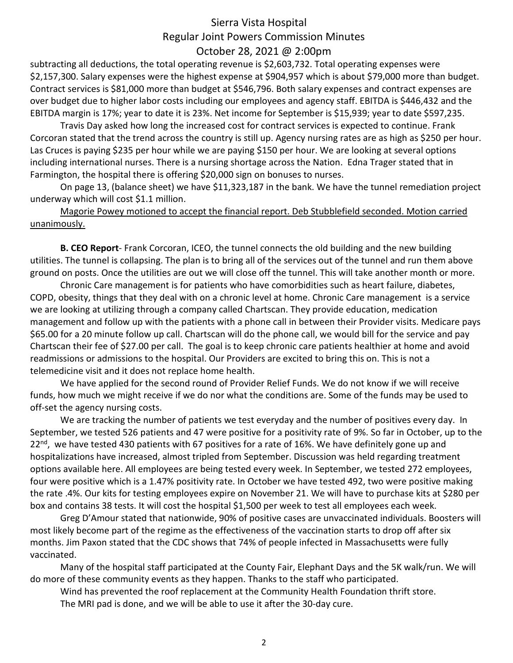subtracting all deductions, the total operating revenue is \$2,603,732. Total operating expenses were \$2,157,300. Salary expenses were the highest expense at \$904,957 which is about \$79,000 more than budget. Contract services is \$81,000 more than budget at \$546,796. Both salary expenses and contract expenses are over budget due to higher labor costs including our employees and agency staff. EBITDA is \$446,432 and the EBITDA margin is 17%; year to date it is 23%. Net income for September is \$15,939; year to date \$597,235.

Travis Day asked how long the increased cost for contract services is expected to continue. Frank Corcoran stated that the trend across the country is still up. Agency nursing rates are as high as \$250 per hour. Las Cruces is paying \$235 per hour while we are paying \$150 per hour. We are looking at several options including international nurses. There is a nursing shortage across the Nation. Edna Trager stated that in Farmington, the hospital there is offering \$20,000 sign on bonuses to nurses.

 On page 13, (balance sheet) we have \$11,323,187 in the bank. We have the tunnel remediation project underway which will cost \$1.1 million.

Magorie Powey motioned to accept the financial report. Deb Stubblefield seconded. Motion carried unanimously.

**B. CEO Report**- Frank Corcoran, ICEO, the tunnel connects the old building and the new building utilities. The tunnel is collapsing. The plan is to bring all of the services out of the tunnel and run them above ground on posts. Once the utilities are out we will close off the tunnel. This will take another month or more.

Chronic Care management is for patients who have comorbidities such as heart failure, diabetes, COPD, obesity, things that they deal with on a chronic level at home. Chronic Care management is a service we are looking at utilizing through a company called Chartscan. They provide education, medication management and follow up with the patients with a phone call in between their Provider visits. Medicare pays \$65.00 for a 20 minute follow up call. Chartscan will do the phone call, we would bill for the service and pay Chartscan their fee of \$27.00 per call. The goal is to keep chronic care patients healthier at home and avoid readmissions or admissions to the hospital. Our Providers are excited to bring this on. This is not a telemedicine visit and it does not replace home health.

We have applied for the second round of Provider Relief Funds. We do not know if we will receive funds, how much we might receive if we do nor what the conditions are. Some of the funds may be used to off-set the agency nursing costs.

We are tracking the number of patients we test everyday and the number of positives every day. In September, we tested 526 patients and 47 were positive for a positivity rate of 9%. So far in October, up to the  $22<sup>nd</sup>$ , we have tested 430 patients with 67 positives for a rate of 16%. We have definitely gone up and hospitalizations have increased, almost tripled from September. Discussion was held regarding treatment options available here. All employees are being tested every week. In September, we tested 272 employees, four were positive which is a 1.47% positivity rate. In October we have tested 492, two were positive making the rate .4%. Our kits for testing employees expire on November 21. We will have to purchase kits at \$280 per box and contains 38 tests. It will cost the hospital \$1,500 per week to test all employees each week.

Greg D'Amour stated that nationwide, 90% of positive cases are unvaccinated individuals. Boosters will most likely become part of the regime as the effectiveness of the vaccination starts to drop off after six months. Jim Paxon stated that the CDC shows that 74% of people infected in Massachusetts were fully vaccinated.

 Many of the hospital staff participated at the County Fair, Elephant Days and the 5K walk/run. We will do more of these community events as they happen. Thanks to the staff who participated.

Wind has prevented the roof replacement at the Community Health Foundation thrift store.

The MRI pad is done, and we will be able to use it after the 30-day cure.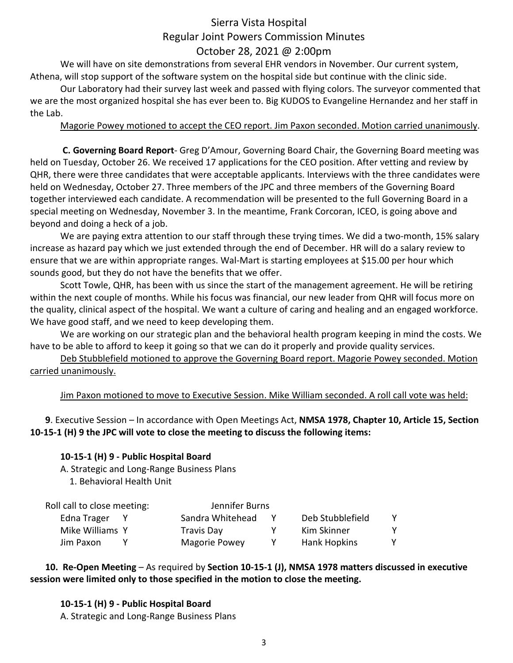We will have on site demonstrations from several EHR vendors in November. Our current system, Athena, will stop support of the software system on the hospital side but continue with the clinic side.

Our Laboratory had their survey last week and passed with flying colors. The surveyor commented that we are the most organized hospital she has ever been to. Big KUDOS to Evangeline Hernandez and her staff in the Lab.

## Magorie Powey motioned to accept the CEO report. Jim Paxon seconded. Motion carried unanimously.

 **C. Governing Board Report**- Greg D'Amour, Governing Board Chair, the Governing Board meeting was held on Tuesday, October 26. We received 17 applications for the CEO position. After vetting and review by QHR, there were three candidates that were acceptable applicants. Interviews with the three candidates were held on Wednesday, October 27. Three members of the JPC and three members of the Governing Board together interviewed each candidate. A recommendation will be presented to the full Governing Board in a special meeting on Wednesday, November 3. In the meantime, Frank Corcoran, ICEO, is going above and beyond and doing a heck of a job.

We are paying extra attention to our staff through these trying times. We did a two-month, 15% salary increase as hazard pay which we just extended through the end of December. HR will do a salary review to ensure that we are within appropriate ranges. Wal-Mart is starting employees at \$15.00 per hour which sounds good, but they do not have the benefits that we offer.

Scott Towle, QHR, has been with us since the start of the management agreement. He will be retiring within the next couple of months. While his focus was financial, our new leader from QHR will focus more on the quality, clinical aspect of the hospital. We want a culture of caring and healing and an engaged workforce. We have good staff, and we need to keep developing them.

We are working on our strategic plan and the behavioral health program keeping in mind the costs. We have to be able to afford to keep it going so that we can do it properly and provide quality services.

Deb Stubblefield motioned to approve the Governing Board report. Magorie Powey seconded. Motion carried unanimously.

Jim Paxon motioned to move to Executive Session. Mike William seconded. A roll call vote was held:

**9**. Executive Session – In accordance with Open Meetings Act, **NMSA 1978, Chapter 10, Article 15, Section 10-15-1 (H) 9 the JPC will vote to close the meeting to discuss the following items:**

# **10-15-1 (H) 9 - Public Hospital Board**

A. Strategic and Long-Range Business Plans

1. Behavioral Health Unit

| Roll call to close meeting: |  | Jennifer Burns       |   |                  |   |
|-----------------------------|--|----------------------|---|------------------|---|
| Edna Trager                 |  | Sandra Whitehead     |   | Deb Stubblefield | Y |
| Mike Williams Y             |  | Travis Day           | v | Kim Skinner      | Y |
| Jim Paxon                   |  | <b>Magorie Powey</b> | Y | Hank Hopkins     | Y |

**10. Re-Open Meeting** – As required by **Section 10-15-1 (J), NMSA 1978 matters discussed in executive session were limited only to those specified in the motion to close the meeting.**

**10-15-1 (H) 9 - Public Hospital Board** A. Strategic and Long-Range Business Plans